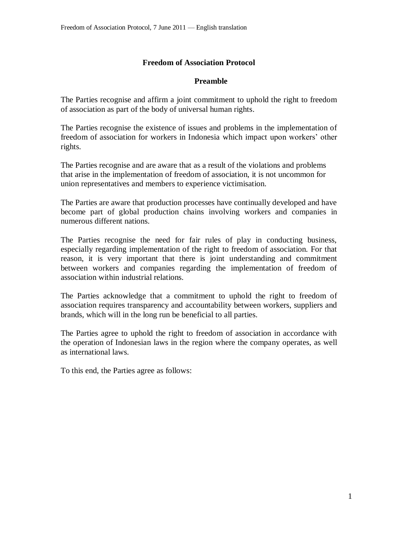## **Freedom of Association Protocol**

## **Preamble**

The Parties recognise and affirm a joint commitment to uphold the right to freedom of association as part of the body of universal human rights.

The Parties recognise the existence of issues and problems in the implementation of freedom of association for workers in Indonesia which impact upon workers' other rights.

The Parties recognise and are aware that as a result of the violations and problems that arise in the implementation of freedom of association, it is not uncommon for union representatives and members to experience victimisation.

The Parties are aware that production processes have continually developed and have become part of global production chains involving workers and companies in numerous different nations.

The Parties recognise the need for fair rules of play in conducting business, especially regarding implementation of the right to freedom of association. For that reason, it is very important that there is joint understanding and commitment between workers and companies regarding the implementation of freedom of association within industrial relations.

The Parties acknowledge that a commitment to uphold the right to freedom of association requires transparency and accountability between workers, suppliers and brands, which will in the long run be beneficial to all parties.

The Parties agree to uphold the right to freedom of association in accordance with the operation of Indonesian laws in the region where the company operates, as well as international laws.

To this end, the Parties agree as follows: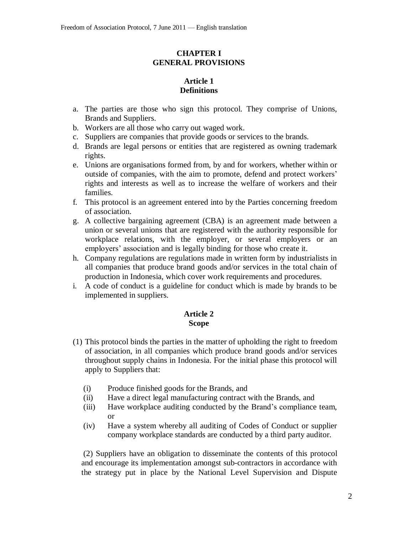## **CHAPTER I GENERAL PROVISIONS**

# **Article 1 Definitions**

- a. The parties are those who sign this protocol. They comprise of Unions, Brands and Suppliers.
- b. Workers are all those who carry out waged work.
- c. Suppliers are companies that provide goods or services to the brands.
- d. Brands are legal persons or entities that are registered as owning trademark rights.
- e. Unions are organisations formed from, by and for workers, whether within or outside of companies, with the aim to promote, defend and protect workers' rights and interests as well as to increase the welfare of workers and their families.
- f. This protocol is an agreement entered into by the Parties concerning freedom of association.
- g. A collective bargaining agreement (CBA) is an agreement made between a union or several unions that are registered with the authority responsible for workplace relations, with the employer, or several employers or an employers' association and is legally binding for those who create it.
- h. Company regulations are regulations made in written form by industrialists in all companies that produce brand goods and/or services in the total chain of production in Indonesia, which cover work requirements and procedures.
- i. A code of conduct is a guideline for conduct which is made by brands to be implemented in suppliers.

### **Article 2 Scope**

- (1) This protocol binds the parties in the matter of upholding the right to freedom of association, in all companies which produce brand goods and/or services throughout supply chains in Indonesia. For the initial phase this protocol will apply to Suppliers that:
	- (i) Produce finished goods for the Brands, and
	- (ii) Have a direct legal manufacturing contract with the Brands, and
	- (iii) Have workplace auditing conducted by the Brand's compliance team, or
	- (iv) Have a system whereby all auditing of Codes of Conduct or supplier company workplace standards are conducted by a third party auditor.

(2) Suppliers have an obligation to disseminate the contents of this protocol and encourage its implementation amongst sub-contractors in accordance with the strategy put in place by the National Level Supervision and Dispute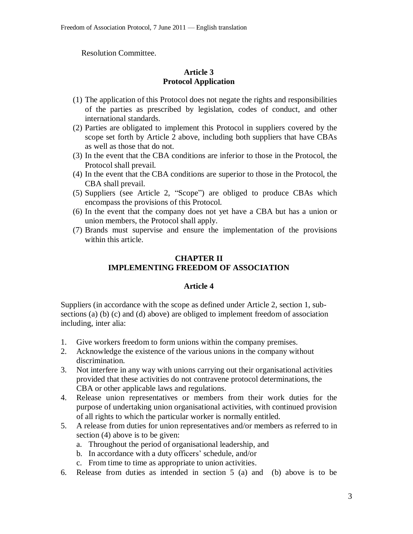Resolution Committee.

## **Article 3 Protocol Application**

- (1) The application of this Protocol does not negate the rights and responsibilities of the parties as prescribed by legislation, codes of conduct, and other international standards.
- (2) Parties are obligated to implement this Protocol in suppliers covered by the scope set forth by Article 2 above, including both suppliers that have CBAs as well as those that do not.
- (3) In the event that the CBA conditions are inferior to those in the Protocol, the Protocol shall prevail.
- (4) In the event that the CBA conditions are superior to those in the Protocol, the CBA shall prevail.
- (5) Suppliers (see Article 2, "Scope") are obliged to produce CBAs which encompass the provisions of this Protocol.
- (6) In the event that the company does not yet have a CBA but has a union or union members, the Protocol shall apply.
- (7) Brands must supervise and ensure the implementation of the provisions within this article.

### **CHAPTER II IMPLEMENTING FREEDOM OF ASSOCIATION**

### **Article 4**

Suppliers (in accordance with the scope as defined under Article 2, section 1, subsections (a) (b) (c) and (d) above) are obliged to implement freedom of association including, inter alia:

- 1. Give workers freedom to form unions within the company premises.
- 2. Acknowledge the existence of the various unions in the company without discrimination.
- 3. Not interfere in any way with unions carrying out their organisational activities provided that these activities do not contravene protocol determinations, the CBA or other applicable laws and regulations.
- 4. Release union representatives or members from their work duties for the purpose of undertaking union organisational activities, with continued provision of all rights to which the particular worker is normally entitled.
- 5. A release from duties for union representatives and/or members as referred to in section (4) above is to be given:
	- a. Throughout the period of organisational leadership, and
	- b. In accordance with a duty officers' schedule, and/or
	- c. From time to time as appropriate to union activities.
- 6. Release from duties as intended in section 5 (a) and (b) above is to be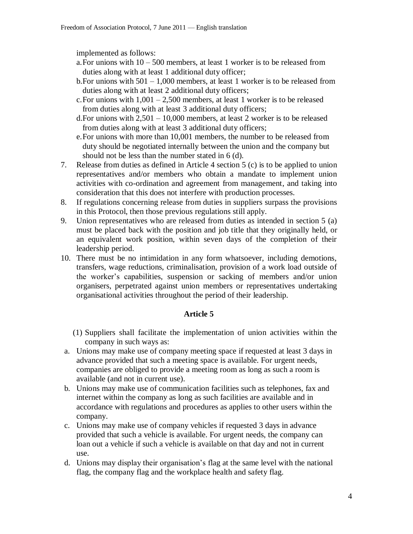implemented as follows:

- a. For unions with  $10 500$  members, at least 1 worker is to be released from duties along with at least 1 additional duty officer;
- b.For unions with 501 1,000 members, at least 1 worker is to be released from duties along with at least 2 additional duty officers;
- c. For unions with  $1,001 2,500$  members, at least 1 worker is to be released from duties along with at least 3 additional duty officers;
- d.For unions with 2,501 10,000 members, at least 2 worker is to be released from duties along with at least 3 additional duty officers;
- e.For unions with more than 10,001 members, the number to be released from duty should be negotiated internally between the union and the company but should not be less than the number stated in 6 (d).
- 7. Release from duties as defined in Article 4 section 5 (c) is to be applied to union representatives and/or members who obtain a mandate to implement union activities with co-ordination and agreement from management, and taking into consideration that this does not interfere with production processes.
- 8. If regulations concerning release from duties in suppliers surpass the provisions in this Protocol, then those previous regulations still apply.
- 9. Union representatives who are released from duties as intended in section 5 (a) must be placed back with the position and job title that they originally held, or an equivalent work position, within seven days of the completion of their leadership period.
- 10. There must be no intimidation in any form whatsoever, including demotions, transfers, wage reductions, criminalisation, provision of a work load outside of the worker's capabilities, suspension or sacking of members and/or union organisers, perpetrated against union members or representatives undertaking organisational activities throughout the period of their leadership.

### **Article 5**

- (1) Suppliers shall facilitate the implementation of union activities within the company in such ways as:
- a. Unions may make use of company meeting space if requested at least 3 days in advance provided that such a meeting space is available. For urgent needs, companies are obliged to provide a meeting room as long as such a room is available (and not in current use).
- b. Unions may make use of communication facilities such as telephones, fax and internet within the company as long as such facilities are available and in accordance with regulations and procedures as applies to other users within the company.
- c. Unions may make use of company vehicles if requested 3 days in advance provided that such a vehicle is available. For urgent needs, the company can loan out a vehicle if such a vehicle is available on that day and not in current use.
- d. Unions may display their organisation's flag at the same level with the national flag, the company flag and the workplace health and safety flag.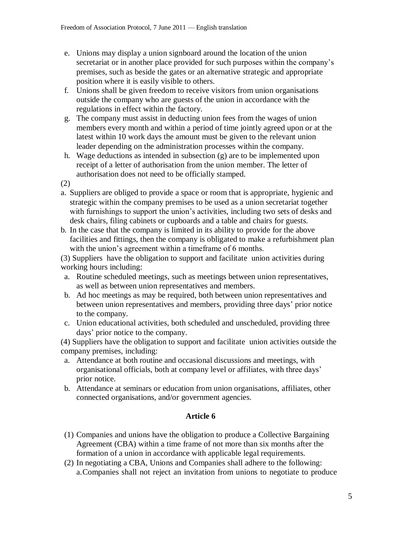- e. Unions may display a union signboard around the location of the union secretariat or in another place provided for such purposes within the company's premises, such as beside the gates or an alternative strategic and appropriate position where it is easily visible to others.
- f. Unions shall be given freedom to receive visitors from union organisations outside the company who are guests of the union in accordance with the regulations in effect within the factory.
- g. The company must assist in deducting union fees from the wages of union members every month and within a period of time jointly agreed upon or at the latest within 10 work days the amount must be given to the relevant union leader depending on the administration processes within the company.
- h. Wage deductions as intended in subsection (g) are to be implemented upon receipt of a letter of authorisation from the union member. The letter of authorisation does not need to be officially stamped.

(2)

- a. Suppliers are obliged to provide a space or room that is appropriate, hygienic and strategic within the company premises to be used as a union secretariat together with furnishings to support the union's activities, including two sets of desks and desk chairs, filing cabinets or cupboards and a table and chairs for guests.
- b. In the case that the company is limited in its ability to provide for the above facilities and fittings, then the company is obligated to make a refurbishment plan with the union's agreement within a timeframe of 6 months.

(3) Suppliers have the obligation to support and facilitate union activities during working hours including:

- a. Routine scheduled meetings, such as meetings between union representatives, as well as between union representatives and members.
- b. Ad hoc meetings as may be required, both between union representatives and between union representatives and members, providing three days' prior notice to the company.
- c. Union educational activities, both scheduled and unscheduled, providing three days' prior notice to the company.

(4) Suppliers have the obligation to support and facilitate union activities outside the company premises, including:

- a. Attendance at both routine and occasional discussions and meetings, with organisational officials, both at company level or affiliates, with three days' prior notice.
- b. Attendance at seminars or education from union organisations, affiliates, other connected organisations, and/or government agencies.

## **Article 6**

- (1) Companies and unions have the obligation to produce a Collective Bargaining Agreement (CBA) within a time frame of not more than six months after the formation of a union in accordance with applicable legal requirements.
- (2) In negotiating a CBA, Unions and Companies shall adhere to the following: a.Companies shall not reject an invitation from unions to negotiate to produce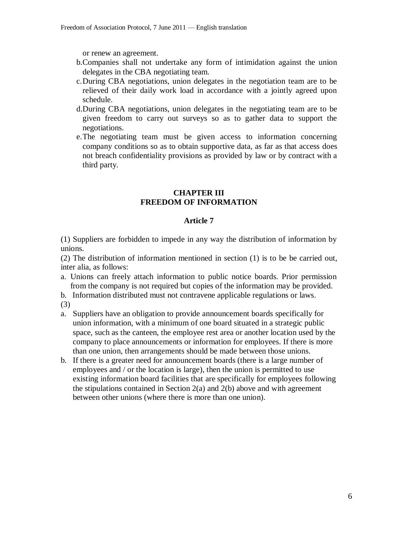or renew an agreement.

- b.Companies shall not undertake any form of intimidation against the union delegates in the CBA negotiating team.
- c.During CBA negotiations, union delegates in the negotiation team are to be relieved of their daily work load in accordance with a jointly agreed upon schedule.
- d.During CBA negotiations, union delegates in the negotiating team are to be given freedom to carry out surveys so as to gather data to support the negotiations.
- e.The negotiating team must be given access to information concerning company conditions so as to obtain supportive data, as far as that access does not breach confidentiality provisions as provided by law or by contract with a third party.

### **CHAPTER III FREEDOM OF INFORMATION**

#### **Article 7**

(1) Suppliers are forbidden to impede in any way the distribution of information by unions.

(2) The distribution of information mentioned in section (1) is to be be carried out, inter alia, as follows:

- a. Unions can freely attach information to public notice boards. Prior permission from the company is not required but copies of the information may be provided.
- b. Information distributed must not contravene applicable regulations or laws.

(3)

- a. Suppliers have an obligation to provide announcement boards specifically for union information, with a minimum of one board situated in a strategic public space, such as the canteen, the employee rest area or another location used by the company to place announcements or information for employees. If there is more than one union, then arrangements should be made between those unions.
- b. If there is a greater need for announcement boards (there is a large number of employees and / or the location is large), then the union is permitted to use existing information board facilities that are specifically for employees following the stipulations contained in Section  $2(a)$  and  $2(b)$  above and with agreement between other unions (where there is more than one union).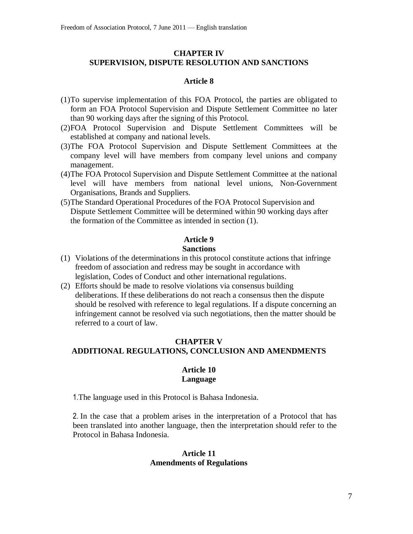### **CHAPTER IV SUPERVISION, DISPUTE RESOLUTION AND SANCTIONS**

### **Article 8**

- (1)To supervise implementation of this FOA Protocol, the parties are obligated to form an FOA Protocol Supervision and Dispute Settlement Committee no later than 90 working days after the signing of this Protocol.
- (2)FOA Protocol Supervision and Dispute Settlement Committees will be established at company and national levels.
- (3)The FOA Protocol Supervision and Dispute Settlement Committees at the company level will have members from company level unions and company management.
- (4)The FOA Protocol Supervision and Dispute Settlement Committee at the national level will have members from national level unions, Non-Government Organisations, Brands and Suppliers.
- (5)The Standard Operational Procedures of the FOA Protocol Supervision and Dispute Settlement Committee will be determined within 90 working days after the formation of the Committee as intended in section (1).

#### **Article 9**

### **Sanctions**

- (1) Violations of the determinations in this protocol constitute actions that infringe freedom of association and redress may be sought in accordance with legislation, Codes of Conduct and other international regulations.
- (2) Efforts should be made to resolve violations via consensus building deliberations. If these deliberations do not reach a consensus then the dispute should be resolved with reference to legal regulations. If a dispute concerning an infringement cannot be resolved via such negotiations, then the matter should be referred to a court of law.

### **CHAPTER V ADDITIONAL REGULATIONS, CONCLUSION AND AMENDMENTS**

#### **Article 10 Language**

1.The language used in this Protocol is Bahasa Indonesia.

2. In the case that a problem arises in the interpretation of a Protocol that has been translated into another language, then the interpretation should refer to the Protocol in Bahasa Indonesia.

### **Article 11 Amendments of Regulations**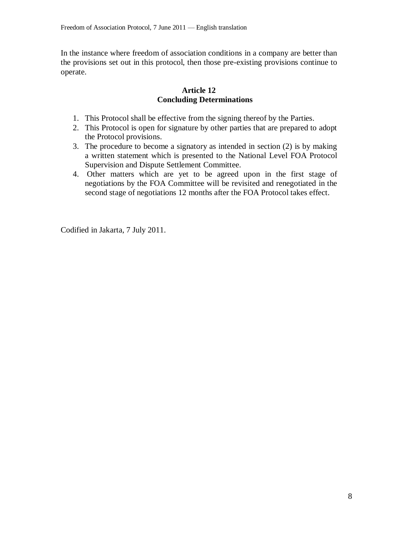In the instance where freedom of association conditions in a company are better than the provisions set out in this protocol, then those pre-existing provisions continue to operate.

### **Article 12 Concluding Determinations**

- 1. This Protocol shall be effective from the signing thereof by the Parties.
- 2. This Protocol is open for signature by other parties that are prepared to adopt the Protocol provisions.
- 3. The procedure to become a signatory as intended in section (2) is by making a written statement which is presented to the National Level FOA Protocol Supervision and Dispute Settlement Committee.
- 4. Other matters which are yet to be agreed upon in the first stage of negotiations by the FOA Committee will be revisited and renegotiated in the second stage of negotiations 12 months after the FOA Protocol takes effect.

Codified in Jakarta, 7 July 2011.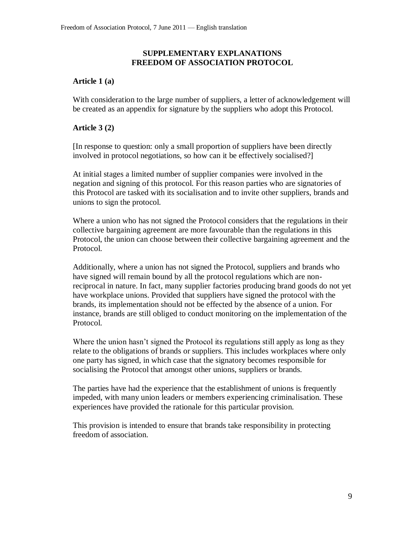### **SUPPLEMENTARY EXPLANATIONS FREEDOM OF ASSOCIATION PROTOCOL**

## **Article 1 (a)**

With consideration to the large number of suppliers, a letter of acknowledgement will be created as an appendix for signature by the suppliers who adopt this Protocol.

# **Article 3 (2)**

[In response to question: only a small proportion of suppliers have been directly involved in protocol negotiations, so how can it be effectively socialised?]

At initial stages a limited number of supplier companies were involved in the negation and signing of this protocol. For this reason parties who are signatories of this Protocol are tasked with its socialisation and to invite other suppliers, brands and unions to sign the protocol.

Where a union who has not signed the Protocol considers that the regulations in their collective bargaining agreement are more favourable than the regulations in this Protocol, the union can choose between their collective bargaining agreement and the Protocol.

Additionally, where a union has not signed the Protocol, suppliers and brands who have signed will remain bound by all the protocol regulations which are nonreciprocal in nature. In fact, many supplier factories producing brand goods do not yet have workplace unions. Provided that suppliers have signed the protocol with the brands, its implementation should not be effected by the absence of a union. For instance, brands are still obliged to conduct monitoring on the implementation of the Protocol.

Where the union hasn't signed the Protocol its regulations still apply as long as they relate to the obligations of brands or suppliers. This includes workplaces where only one party has signed, in which case that the signatory becomes responsible for socialising the Protocol that amongst other unions, suppliers or brands.

The parties have had the experience that the establishment of unions is frequently impeded, with many union leaders or members experiencing criminalisation. These experiences have provided the rationale for this particular provision.

This provision is intended to ensure that brands take responsibility in protecting freedom of association.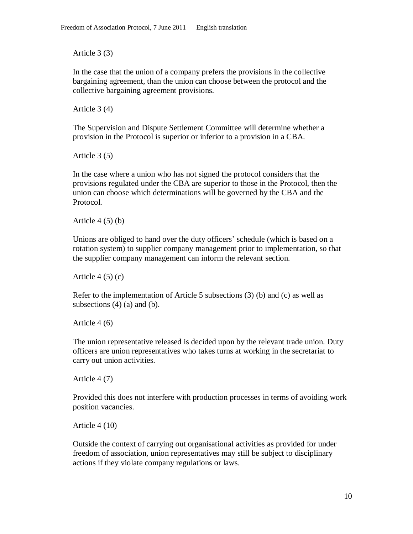Article 3 (3)

In the case that the union of a company prefers the provisions in the collective bargaining agreement, than the union can choose between the protocol and the collective bargaining agreement provisions.

Article 3 (4)

The Supervision and Dispute Settlement Committee will determine whether a provision in the Protocol is superior or inferior to a provision in a CBA.

Article 3 (5)

In the case where a union who has not signed the protocol considers that the provisions regulated under the CBA are superior to those in the Protocol, then the union can choose which determinations will be governed by the CBA and the Protocol.

Article  $4(5)(b)$ 

Unions are obliged to hand over the duty officers' schedule (which is based on a rotation system) to supplier company management prior to implementation, so that the supplier company management can inform the relevant section.

Article  $4(5)(c)$ 

Refer to the implementation of Article 5 subsections (3) (b) and (c) as well as subsections  $(4)$  (a) and (b).

Article 4 (6)

The union representative released is decided upon by the relevant trade union. Duty officers are union representatives who takes turns at working in the secretariat to carry out union activities.

Article 4 (7)

Provided this does not interfere with production processes in terms of avoiding work position vacancies.

Article 4 (10)

Outside the context of carrying out organisational activities as provided for under freedom of association, union representatives may still be subject to disciplinary actions if they violate company regulations or laws.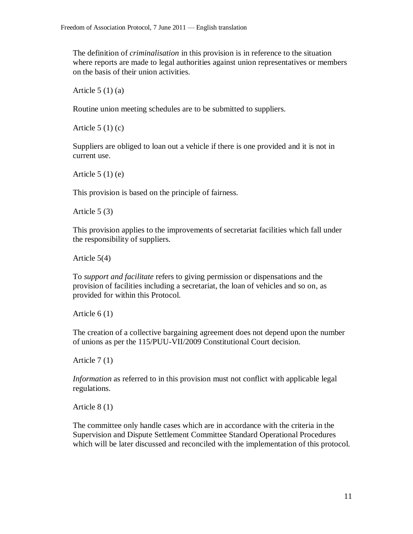The definition of *criminalisation* in this provision is in reference to the situation where reports are made to legal authorities against union representatives or members on the basis of their union activities.

Article  $5(1)(a)$ 

Routine union meeting schedules are to be submitted to suppliers.

Article  $5(1)(c)$ 

Suppliers are obliged to loan out a vehicle if there is one provided and it is not in current use.

Article  $5(1)(e)$ 

This provision is based on the principle of fairness.

Article 5 (3)

This provision applies to the improvements of secretariat facilities which fall under the responsibility of suppliers.

Article 5(4)

To *support and facilitate* refers to giving permission or dispensations and the provision of facilities including a secretariat, the loan of vehicles and so on, as provided for within this Protocol.

Article 6 (1)

The creation of a collective bargaining agreement does not depend upon the number of unions as per the 115/PUU-VII/2009 Constitutional Court decision.

Article 7 (1)

*Information* as referred to in this provision must not conflict with applicable legal regulations.

Article 8 (1)

The committee only handle cases which are in accordance with the criteria in the Supervision and Dispute Settlement Committee Standard Operational Procedures which will be later discussed and reconciled with the implementation of this protocol.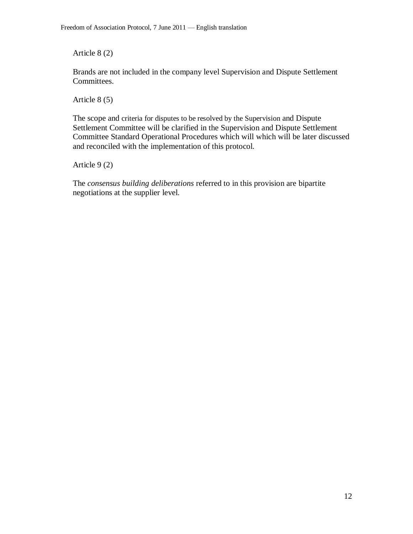Article 8 (2)

Brands are not included in the company level Supervision and Dispute Settlement Committees.

Article 8 (5)

The scope and criteria for disputes to be resolved by the Supervision and Dispute Settlement Committee will be clarified in the Supervision and Dispute Settlement Committee Standard Operational Procedures which will which will be later discussed and reconciled with the implementation of this protocol.

Article 9 (2)

The *consensus building deliberations* referred to in this provision are bipartite negotiations at the supplier level.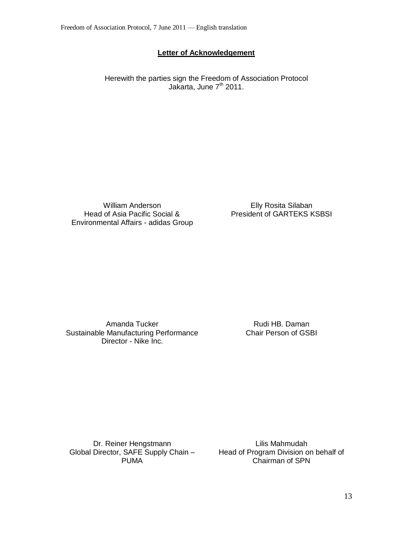## **Letter of Acknowledgement**

Herewith the parties sign the Freedom of Association Protocol Jakarta, June 7<sup>th</sup> 2011.

William Anderson Head of Asia Pacific Social & Environmental Affairs - adidas Group

Elly Rosita Silaban President of GARTEKS KSBSI

Amanda Tucker Sustainable Manufacturing Performance Director - Nike Inc.

Rudi HB. Daman Chair Person of GSBI

Dr. Reiner Hengstmann Global Director, SAFE Supply Chain – PUMA

Lilis Mahmudah Head of Program Division on behalf of Chairman of SPN